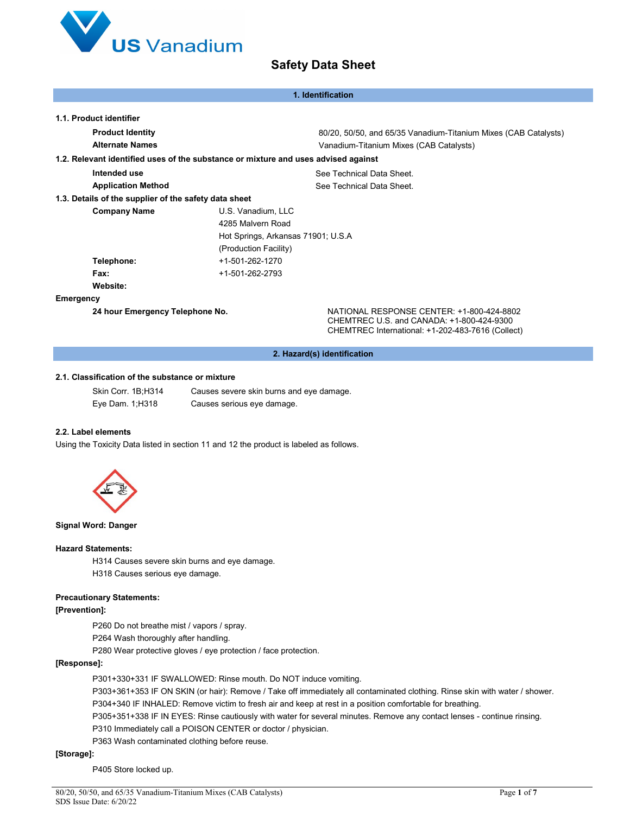

|                                                       | 1. Identification                                                                  |
|-------------------------------------------------------|------------------------------------------------------------------------------------|
| 1.1. Product identifier                               |                                                                                    |
|                                                       |                                                                                    |
| <b>Product Identity</b>                               | 80/20, 50/50, and 65/35 Vanadium-Titanium Mixes (CAB Catalysts)                    |
| <b>Alternate Names</b>                                | Vanadium-Titanium Mixes (CAB Catalysts)                                            |
|                                                       | 1.2. Relevant identified uses of the substance or mixture and uses advised against |
| Intended use                                          | See Technical Data Sheet.                                                          |
| <b>Application Method</b>                             | See Technical Data Sheet.                                                          |
| 1.3. Details of the supplier of the safety data sheet |                                                                                    |
| <b>Company Name</b>                                   | U.S. Vanadium, LLC                                                                 |
|                                                       | 4285 Malvern Road                                                                  |
|                                                       | Hot Springs, Arkansas 71901; U.S.A.                                                |
|                                                       | (Production Facility)                                                              |
| Telephone:                                            | +1-501-262-1270                                                                    |
| Fax:                                                  | +1-501-262-2793                                                                    |
| Website:                                              |                                                                                    |
| Emergency                                             |                                                                                    |
| 24 hour Emergency Telephone No.                       | NATIONAL RESPONSE CENTER: +1-800-424-8802                                          |

**2. Hazard(s) identification** 

CHEMTREC U.S. and CANADA: +1-800-424-9300 CHEMTREC International: +1-202-483-7616 (Collect)

#### **2.1. Classification of the substance or mixture**

Skin Corr. 1B;H314 Causes severe skin burns and eye damage. Eye Dam. 1;H318 Causes serious eye damage.

### **2.2. Label elements**

Using the Toxicity Data listed in section 11 and 12 the product is labeled as follows.



#### **Signal Word: Danger**

#### **Hazard Statements:**

H314 Causes severe skin burns and eye damage. H318 Causes serious eye damage.

#### **Precautionary Statements:**

### **[Prevention]:**

P260 Do not breathe mist / vapors / spray.

P264 Wash thoroughly after handling.

P280 Wear protective gloves / eye protection / face protection.

#### **[Response]:**

P301+330+331 IF SWALLOWED: Rinse mouth. Do NOT induce vomiting.

P303+361+353 IF ON SKIN (or hair): Remove / Take off immediately all contaminated clothing. Rinse skin with water / shower. P304+340 IF INHALED: Remove victim to fresh air and keep at rest in a position comfortable for breathing.

P305+351+338 IF IN EYES: Rinse cautiously with water for several minutes. Remove any contact lenses - continue rinsing.

P310 Immediately call a POISON CENTER or doctor / physician.

P363 Wash contaminated clothing before reuse.

## **[Storage]:**

P405 Store locked up.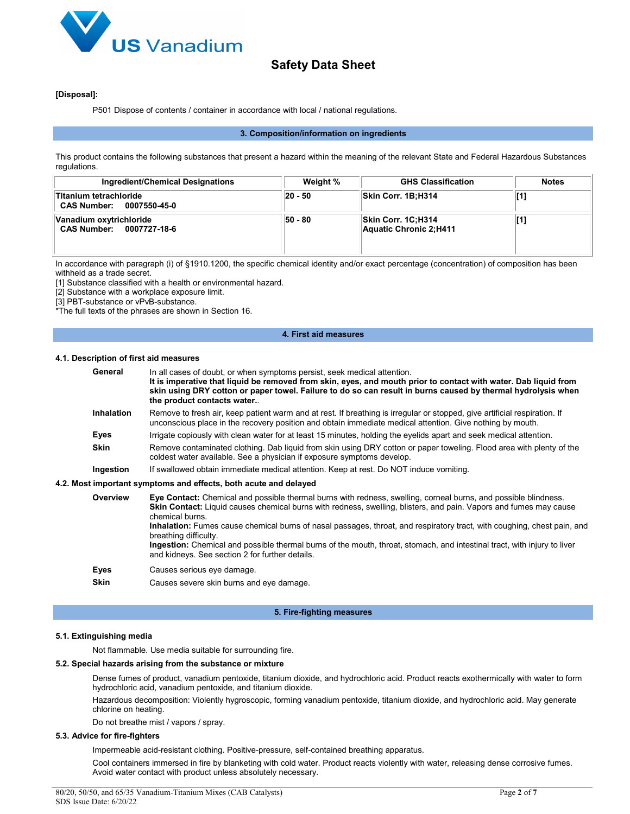

#### **[Disposal]:**

P501 Dispose of contents / container in accordance with local / national regulations.

#### **3. Composition/information on ingredients**

This product contains the following substances that present a hazard within the meaning of the relevant State and Federal Hazardous Substances regulations.

| Ingredient/Chemical Designations                    | Weight % | <b>GHS Classification</b>                     | <b>Notes</b> |
|-----------------------------------------------------|----------|-----------------------------------------------|--------------|
| Titanium tetrachloride<br>CAS Number: 0007550-45-0  | 20 - 50  | Skin Corr. 1B;H314                            |              |
| Vanadium oxytrichloride<br>CAS Number: 0007727-18-6 | 50 - 80  | Skin Corr. 1C:H314<br>Aquatic Chronic 2; H411 |              |

In accordance with paragraph (i) of §1910.1200, the specific chemical identity and/or exact percentage (concentration) of composition has been withheld as a trade secret.

[1] Substance classified with a health or environmental hazard.

[2] Substance with a workplace exposure limit.

[3] PBT-substance or vPvB-substance.

\*The full texts of the phrases are shown in Section 16.

#### **4. First aid measures**

#### **4.1. Description of first aid measures**

- General In all cases of doubt, or when symptoms persist, seek medical attention. **It is imperative that liquid be removed from skin, eyes, and mouth prior to contact with water. Dab liquid from skin using DRY cotton or paper towel. Failure to do so can result in burns caused by thermal hydrolysis when the product contacts water.**. **Inhalation** Remove to fresh air, keep patient warm and at rest. If breathing is irregular or stopped, give artificial respiration. If unconscious place in the recovery position and obtain immediate medical attention. Give nothing by mouth. **Eyes** Irrigate copiously with clean water for at least 15 minutes, holding the eyelids apart and seek medical attention. **Skin** Remove contaminated clothing. Dab liquid from skin using DRY cotton or paper toweling. Flood area with plenty of the coldest water available. See a physician if exposure symptoms develop. **Ingestion** If swallowed obtain immediate medical attention. Keep at rest. Do NOT induce vomiting. **4.2. Most important symptoms and effects, both acute and delayed**
	- **Overview Eye Contact:** Chemical and possible thermal burns with redness, swelling, corneal burns, and possible blindness. **Skin Contact:** Liquid causes chemical burns with redness, swelling, blisters, and pain. Vapors and fumes may cause chemical burns. **Inhalation:** Fumes cause chemical burns of nasal passages, throat, and respiratory tract, with coughing, chest pain, and breathing difficulty. **Ingestion:** Chemical and possible thermal burns of the mouth, throat, stomach, and intestinal tract, with injury to liver and kidneys. See section 2 for further details. **Eyes** Causes serious eye damage. **Skin** Causes severe skin burns and eye damage.

#### **5. Fire-fighting measures**

#### **5.1. Extinguishing media**

Not flammable. Use media suitable for surrounding fire.

#### **5.2. Special hazards arising from the substance or mixture**

Dense fumes of product, vanadium pentoxide, titanium dioxide, and hydrochloric acid. Product reacts exothermically with water to form hydrochloric acid, vanadium pentoxide, and titanium dioxide.

Hazardous decomposition: Violently hygroscopic, forming vanadium pentoxide, titanium dioxide, and hydrochloric acid. May generate chlorine on heating.

Do not breathe mist / vapors / spray.

#### **5.3. Advice for fire-fighters**

Impermeable acid-resistant clothing. Positive-pressure, self-contained breathing apparatus.

Cool containers immersed in fire by blanketing with cold water. Product reacts violently with water, releasing dense corrosive fumes. Avoid water contact with product unless absolutely necessary.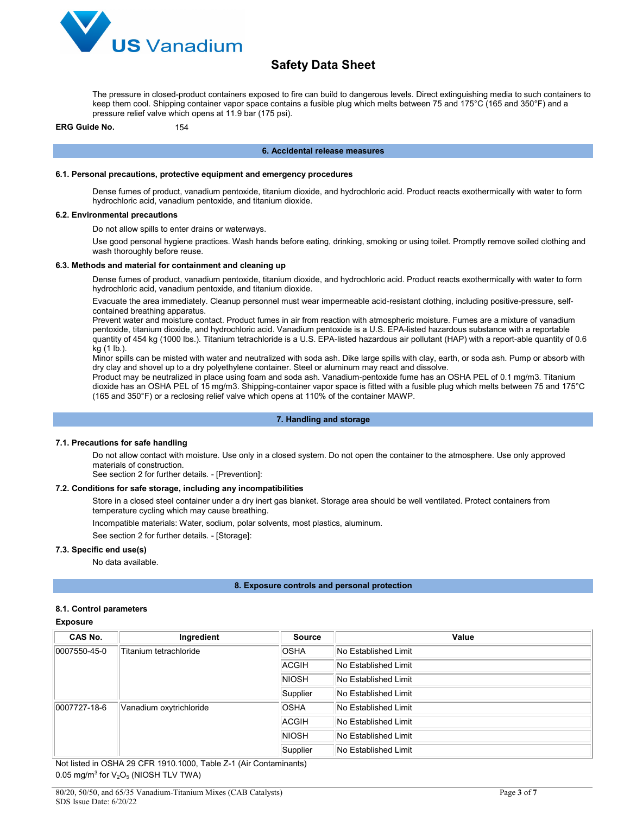

The pressure in closed-product containers exposed to fire can build to dangerous levels. Direct extinguishing media to such containers to keep them cool. Shipping container vapor space contains a fusible plug which melts between 75 and 175°C (165 and 350°F) and a pressure relief valve which opens at 11.9 bar (175 psi).

**ERG Guide No.** 154

#### **6. Accidental release measures**

#### **6.1. Personal precautions, protective equipment and emergency procedures**

Dense fumes of product, vanadium pentoxide, titanium dioxide, and hydrochloric acid. Product reacts exothermically with water to form hydrochloric acid, vanadium pentoxide, and titanium dioxide.

#### **6.2. Environmental precautions**

Do not allow spills to enter drains or waterways.

Use good personal hygiene practices. Wash hands before eating, drinking, smoking or using toilet. Promptly remove soiled clothing and wash thoroughly before reuse.

#### **6.3. Methods and material for containment and cleaning up**

Dense fumes of product, vanadium pentoxide, titanium dioxide, and hydrochloric acid. Product reacts exothermically with water to form hydrochloric acid, vanadium pentoxide, and titanium dioxide.

Evacuate the area immediately. Cleanup personnel must wear impermeable acid-resistant clothing, including positive-pressure, selfcontained breathing apparatus.

Prevent water and moisture contact. Product fumes in air from reaction with atmospheric moisture. Fumes are a mixture of vanadium pentoxide, titanium dioxide, and hydrochloric acid. Vanadium pentoxide is a U.S. EPA-listed hazardous substance with a reportable quantity of 454 kg (1000 lbs.). Titanium tetrachloride is a U.S. EPA-listed hazardous air pollutant (HAP) with a report-able quantity of 0.6 kg (1 lb.).

Minor spills can be misted with water and neutralized with soda ash. Dike large spills with clay, earth, or soda ash. Pump or absorb with dry clay and shovel up to a dry polyethylene container. Steel or aluminum may react and dissolve.

Product may be neutralized in place using foam and soda ash. Vanadium-pentoxide fume has an OSHA PEL of 0.1 mg/m3. Titanium dioxide has an OSHA PEL of 15 mg/m3. Shipping-container vapor space is fitted with a fusible plug which melts between 75 and 175°C (165 and 350°F) or a reclosing relief valve which opens at 110% of the container MAWP.

#### **7. Handling and storage**

#### **7.1. Precautions for safe handling**

Do not allow contact with moisture. Use only in a closed system. Do not open the container to the atmosphere. Use only approved materials of construction.

See section 2 for further details. - [Prevention]:

#### **7.2. Conditions for safe storage, including any incompatibilities**

Store in a closed steel container under a dry inert gas blanket. Storage area should be well ventilated. Protect containers from temperature cycling which may cause breathing.

Incompatible materials: Water, sodium, polar solvents, most plastics, aluminum.

See section 2 for further details. - [Storage]:

#### **7.3. Specific end use(s)**

No data available.

#### **8. Exposure controls and personal protection**

#### **8.1. Control parameters**

#### **Exposure**

| CAS No.      | Ingredient              | <b>Source</b> | Value                       |
|--------------|-------------------------|---------------|-----------------------------|
| 0007550-45-0 | Titanium tetrachloride  | <b>OSHA</b>   | No Established Limit        |
|              |                         | <b>ACGIH</b>  | No Established Limit        |
|              |                         | <b>NIOSH</b>  | No Established Limit        |
|              |                         | Supplier      | No Established Limit        |
| 0007727-18-6 | Vanadium oxytrichloride | <b>OSHA</b>   | No Established Limit        |
|              |                         | ACGIH         | <b>No Established Limit</b> |
|              |                         | NIOSH         | No Established Limit        |
|              |                         | Supplier      | No Established Limit        |

Not listed in OSHA 29 CFR 1910.1000, Table Z-1 (Air Contaminants) 0.05 mg/m<sup>3</sup> for  $V_2O_5$  (NIOSH TLV TWA)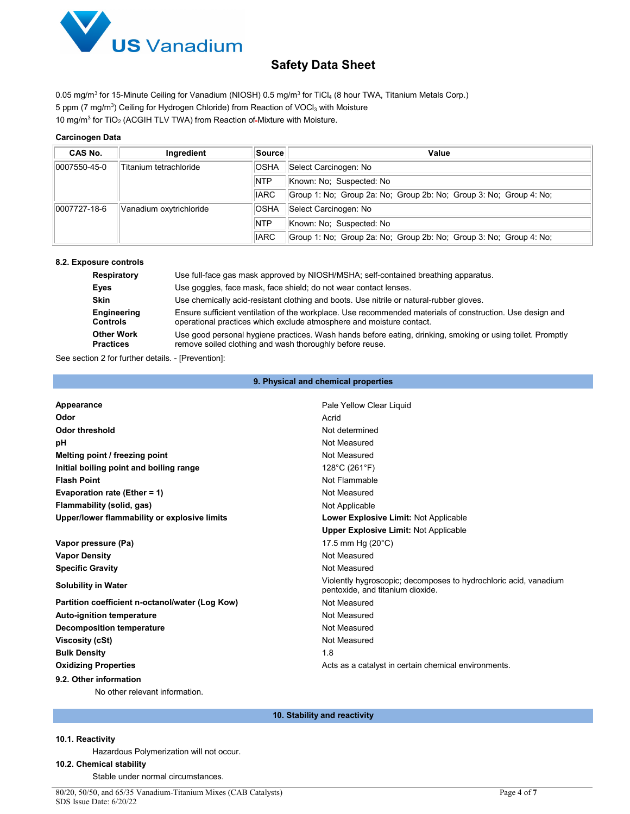

0.05 mg/m<sup>3</sup> for 15-Minute Ceiling for Vanadium (NIOSH) 0.5 mg/m<sup>3</sup> for TiCl<sub>4</sub> (8 hour TWA, Titanium Metals Corp.) 5 ppm (7 mg/m $^3$ ) Ceiling for Hydrogen Chloride) from Reaction of VOCl $_3$  with Moisture 10 mg/m<sup>3</sup> for TiO<sub>2</sub> (ACGIH TLV TWA) from Reaction of Mixture with Moisture.

## **Carcinogen Data**

| CAS No.                                | Ingredient              | <b>Source</b> | Value                                                              |  |  |
|----------------------------------------|-------------------------|---------------|--------------------------------------------------------------------|--|--|
| 0007550-45-0<br>Titanium tetrachloride |                         | <b>OSHA</b>   | Select Carcinogen: No                                              |  |  |
|                                        |                         | <b>NTP</b>    | Known: No: Suspected: No                                           |  |  |
|                                        |                         | <b>IARC</b>   | Group 1: No; Group 2a: No; Group 2b: No; Group 3: No; Group 4: No; |  |  |
| $ 0007727-18-6 $                       | Vanadium oxytrichloride | <b>OSHA</b>   | Select Carcinogen: No                                              |  |  |
|                                        |                         | <b>NTP</b>    | Known: No: Suspected: No                                           |  |  |
|                                        |                         | <b>IARC</b>   | Group 1: No; Group 2a: No; Group 2b: No; Group 3: No; Group 4: No; |  |  |

#### **8.2. Exposure controls**

| Respiratory                           | Use full-face gas mask approved by NIOSH/MSHA; self-contained breathing apparatus.                                                                                                |
|---------------------------------------|-----------------------------------------------------------------------------------------------------------------------------------------------------------------------------------|
| Eyes                                  | Use goggles, face mask, face shield; do not wear contact lenses.                                                                                                                  |
| <b>Skin</b>                           | Use chemically acid-resistant clothing and boots. Use nitrile or natural-rubber gloves.                                                                                           |
| Engineering<br><b>Controls</b>        | Ensure sufficient ventilation of the workplace. Use recommended materials of construction. Use design and<br>operational practices which exclude atmosphere and moisture contact. |
| <b>Other Work</b><br><b>Practices</b> | Use good personal hygiene practices. Wash hands before eating, drinking, smoking or using toilet. Promptly<br>remove soiled clothing and wash thoroughly before reuse.            |

See section 2 for further details. - [Prevention]:

#### **9. Physical and chemical properties**

| Appearance                                      | Pale Yellow Clear Liquid                                                                             |
|-------------------------------------------------|------------------------------------------------------------------------------------------------------|
| Odor                                            | Acrid                                                                                                |
| <b>Odor threshold</b>                           | Not determined                                                                                       |
| рH                                              | Not Measured                                                                                         |
| Melting point / freezing point                  | Not Measured                                                                                         |
| Initial boiling point and boiling range         | 128°C (261°F)                                                                                        |
| <b>Flash Point</b>                              | Not Flammable                                                                                        |
| Evaporation rate (Ether = 1)                    | Not Measured                                                                                         |
| Flammability (solid, gas)                       | Not Applicable                                                                                       |
| Upper/lower flammability or explosive limits    | Lower Explosive Limit: Not Applicable                                                                |
|                                                 | <b>Upper Explosive Limit: Not Applicable</b>                                                         |
| Vapor pressure (Pa)                             | 17.5 mm Hg $(20^{\circ}C)$                                                                           |
| <b>Vapor Density</b>                            | Not Measured                                                                                         |
| <b>Specific Gravity</b>                         | Not Measured                                                                                         |
| <b>Solubility in Water</b>                      | Violently hygroscopic; decomposes to hydrochloric acid, vanadium<br>pentoxide, and titanium dioxide. |
| Partition coefficient n-octanol/water (Log Kow) | Not Measured                                                                                         |
| <b>Auto-ignition temperature</b>                | Not Measured                                                                                         |
| <b>Decomposition temperature</b>                | Not Measured                                                                                         |
| <b>Viscosity (cSt)</b>                          | Not Measured                                                                                         |
| <b>Bulk Density</b>                             | 1.8                                                                                                  |
| <b>Oxidizing Properties</b>                     | Acts as a catalyst in certain chemical environments.                                                 |
| 9.2. Other information                          |                                                                                                      |

No other relevant information.

#### **10. Stability and reactivity**

## **10.1. Reactivity**

Hazardous Polymerization will not occur.

## **10.2. Chemical stability**

Stable under normal circumstances.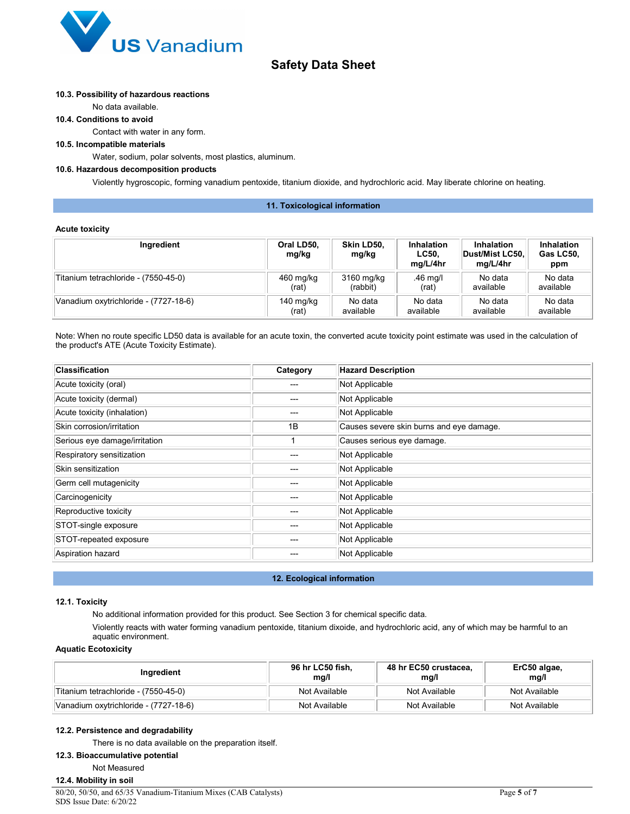

#### **10.3. Possibility of hazardous reactions**

No data available.

#### **10.4. Conditions to avoid**

Contact with water in any form.

## **10.5. Incompatible materials**

Water, sodium, polar solvents, most plastics, aluminum.

#### **10.6. Hazardous decomposition products**

Violently hygroscopic, forming vanadium pentoxide, titanium dioxide, and hydrochloric acid. May liberate chlorine on heating.

#### **11. Toxicological information**

#### **Acute toxicity**

| Ingredient                            | Oral LD50,<br>mg/kg | Skin LD50,<br>mg/kg | Inhalation<br>LC50.<br>ma/L/4hr | Inhalation<br>Dust/Mist LC50,<br>mg/L/4hr | Inhalation<br>Gas LC50,<br>ppm |
|---------------------------------------|---------------------|---------------------|---------------------------------|-------------------------------------------|--------------------------------|
| Titanium tetrachloride - (7550-45-0)  | 460 mg/kg           | 3160 mg/kg          | .46 mg/l                        | No data                                   | No data                        |
|                                       | (rat)               | (rabbit)            | (rat)                           | available                                 | available                      |
| Vanadium oxytrichloride - (7727-18-6) | 140 mg/kg           | No data             | No data                         | No data                                   | No data                        |
|                                       | (rat)               | available           | available                       | available                                 | available                      |

Note: When no route specific LD50 data is available for an acute toxin, the converted acute toxicity point estimate was used in the calculation of the product's ATE (Acute Toxicity Estimate).

| <b>Classification</b>         | Category | <b>Hazard Description</b>                |
|-------------------------------|----------|------------------------------------------|
| Acute toxicity (oral)         | ---      | Not Applicable                           |
| Acute toxicity (dermal)       | ---      | Not Applicable                           |
| Acute toxicity (inhalation)   | ---      | Not Applicable                           |
| Skin corrosion/irritation     | 1B       | Causes severe skin burns and eye damage. |
| Serious eye damage/irritation |          | Causes serious eye damage.               |
| Respiratory sensitization     | ---      | Not Applicable                           |
| Skin sensitization            | ---      | Not Applicable                           |
| Germ cell mutagenicity        | ---      | Not Applicable                           |
| Carcinogenicity               | ---      | Not Applicable                           |
| Reproductive toxicity         | ---      | Not Applicable                           |
| STOT-single exposure          | ---      | Not Applicable                           |
| STOT-repeated exposure        | ---      | Not Applicable                           |
| Aspiration hazard             |          | Not Applicable                           |

#### **12. Ecological information**

#### **12.1. Toxicity**

No additional information provided for this product. See Section 3 for chemical specific data.

Violently reacts with water forming vanadium pentoxide, titanium dixoide, and hydrochloric acid, any of which may be harmful to an aquatic environment.

### **Aquatic Ecotoxicity**

| Ingredient                            | 96 hr LC50 fish,<br>mg/l | 48 hr EC50 crustacea,<br>mg/l | ErC50 algae,<br>mg/l |
|---------------------------------------|--------------------------|-------------------------------|----------------------|
| Titanium tetrachloride - (7550-45-0)  | Not Available            | Not Available                 | Not Available        |
| Vanadium oxytrichloride - (7727-18-6) | Not Available            | Not Available                 | Not Available        |

## **12.2. Persistence and degradability**

There is no data available on the preparation itself.

## **12.3. Bioaccumulative potential**

Not Measured

## **12.4. Mobility in soil**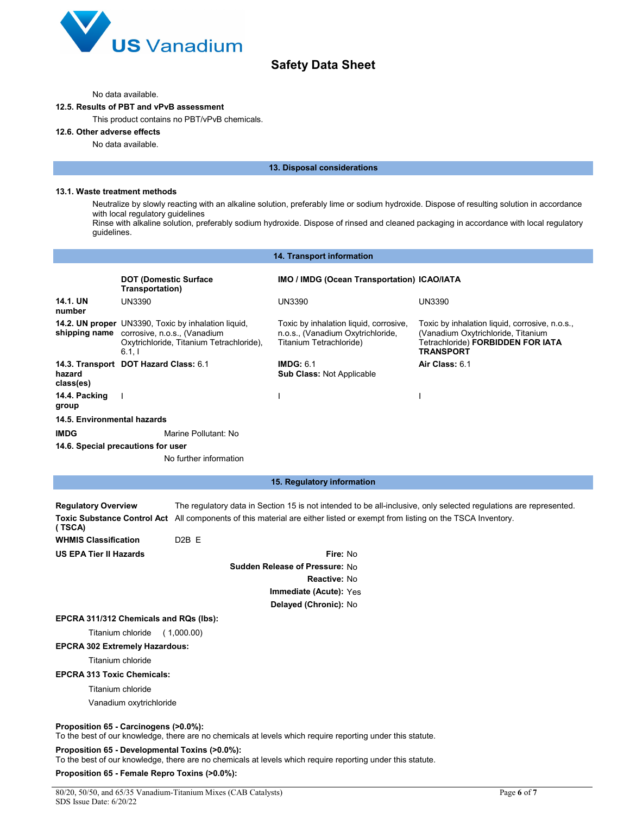

#### No data available.

## **12.5. Results of PBT and vPvB assessment**

This product contains no PBT/vPvB chemicals.

## **12.6. Other adverse effects**

No data available.

#### **13. Disposal considerations**

#### **13.1. Waste treatment methods**

Neutralize by slowly reacting with an alkaline solution, preferably lime or sodium hydroxide. Dispose of resulting solution in accordance with local regulatory guidelines

Rinse with alkaline solution, preferably sodium hydroxide. Dispose of rinsed and cleaned packaging in accordance with local regulatory guidelines.

|                                                                     |                                                                                                                                                              | 14. Transport information                                                                              |                                                                                                                                               |  |
|---------------------------------------------------------------------|--------------------------------------------------------------------------------------------------------------------------------------------------------------|--------------------------------------------------------------------------------------------------------|-----------------------------------------------------------------------------------------------------------------------------------------------|--|
|                                                                     | <b>DOT (Domestic Surface</b><br>Transportation)                                                                                                              | IMO / IMDG (Ocean Transportation) ICAO/IATA                                                            |                                                                                                                                               |  |
| 14.1. UN<br>number                                                  | <b>UN3390</b>                                                                                                                                                | UN3390                                                                                                 | <b>UN3390</b>                                                                                                                                 |  |
|                                                                     | 14.2. UN proper UN3390, Toxic by inhalation liquid,<br>shipping name corrosive, n.o.s., (Vanadium<br>Oxytrichloride, Titanium Tetrachloride),<br>6.1, I      | Toxic by inhalation liquid, corrosive,<br>n.o.s., (Vanadium Oxytrichloride,<br>Titanium Tetrachloride) | Toxic by inhalation liquid, corrosive, n.o.s.,<br>(Vanadium Oxytrichloride, Titanium<br>Tetrachloride) FORBIDDEN FOR IATA<br><b>TRANSPORT</b> |  |
| hazard<br>class(es)                                                 | 14.3. Transport DOT Hazard Class: 6.1                                                                                                                        | IMDG: 6.1<br>Sub Class: Not Applicable                                                                 | Air Class: 6.1                                                                                                                                |  |
| 14.4. Packing<br>group                                              | $\mathbf{I}$                                                                                                                                                 |                                                                                                        |                                                                                                                                               |  |
| 14.5. Environmental hazards                                         |                                                                                                                                                              |                                                                                                        |                                                                                                                                               |  |
| IMDG                                                                | Marine Pollutant: No                                                                                                                                         |                                                                                                        |                                                                                                                                               |  |
|                                                                     | 14.6. Special precautions for user                                                                                                                           |                                                                                                        |                                                                                                                                               |  |
|                                                                     | No further information                                                                                                                                       |                                                                                                        |                                                                                                                                               |  |
|                                                                     |                                                                                                                                                              |                                                                                                        |                                                                                                                                               |  |
|                                                                     |                                                                                                                                                              | 15. Regulatory information                                                                             |                                                                                                                                               |  |
| <b>Regulatory Overview</b><br>(TSCA)<br><b>WHMIS Classification</b> | Toxic Substance Control Act All components of this material are either listed or exempt from listing on the TSCA Inventory.<br>D <sub>2</sub> B <sub>E</sub> |                                                                                                        | The regulatory data in Section 15 is not intended to be all-inclusive, only selected regulations are represented.                             |  |
| <b>US EPA Tier II Hazards</b>                                       |                                                                                                                                                              | Fire: No                                                                                               |                                                                                                                                               |  |
|                                                                     |                                                                                                                                                              | <b>Sudden Release of Pressure: No</b>                                                                  |                                                                                                                                               |  |
|                                                                     |                                                                                                                                                              | Reactive: No                                                                                           |                                                                                                                                               |  |
|                                                                     |                                                                                                                                                              | Immediate (Acute): Yes                                                                                 |                                                                                                                                               |  |
|                                                                     |                                                                                                                                                              | Delayed (Chronic): No                                                                                  |                                                                                                                                               |  |
|                                                                     | EPCRA 311/312 Chemicals and RQs (lbs):                                                                                                                       |                                                                                                        |                                                                                                                                               |  |
|                                                                     | Titanium chloride<br>(1,000.00)                                                                                                                              |                                                                                                        |                                                                                                                                               |  |
|                                                                     | <b>EPCRA 302 Extremely Hazardous:</b>                                                                                                                        |                                                                                                        |                                                                                                                                               |  |
|                                                                     | Titanium chloride                                                                                                                                            |                                                                                                        |                                                                                                                                               |  |
| <b>EPCRA 313 Toxic Chemicals:</b>                                   |                                                                                                                                                              |                                                                                                        |                                                                                                                                               |  |
| Titanium chloride                                                   |                                                                                                                                                              |                                                                                                        |                                                                                                                                               |  |
|                                                                     | Vanadium oxytrichloride                                                                                                                                      |                                                                                                        |                                                                                                                                               |  |
|                                                                     | Proposition 65 - Carcinogens (>0.0%):<br>To the best of our knowledge, there are no chemicals at levels which require reporting under this statute.          |                                                                                                        |                                                                                                                                               |  |
|                                                                     | Proposition 65 - Developmental Toxins (>0.0%):<br>To the best of our knowledge, there are no chemicals at levels which require reporting under this statute. |                                                                                                        |                                                                                                                                               |  |
|                                                                     | Proposition 65 - Female Repro Toxins (>0.0%):                                                                                                                |                                                                                                        |                                                                                                                                               |  |